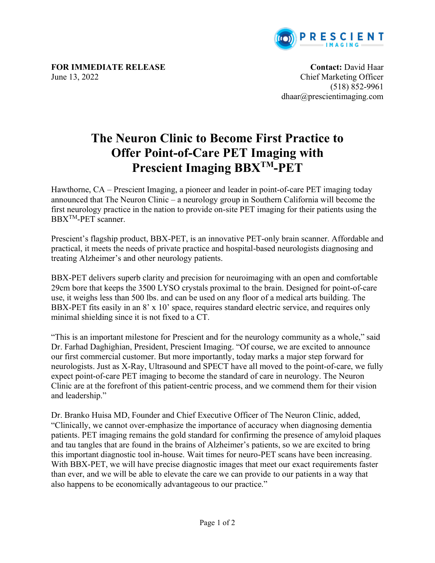

**FOR IMMEDIATE RELEASE Contact:** David Haar June 13, 2022 Chief Marketing Officer

(518) 852-9961 dhaar@prescientimaging.com

## **The Neuron Clinic to Become First Practice to Offer Point-of-Care PET Imaging with Prescient Imaging BBXTM-PET**

Hawthorne, CA – Prescient Imaging, a pioneer and leader in point-of-care PET imaging today announced that The Neuron Clinic – a neurology group in Southern California will become the first neurology practice in the nation to provide on-site PET imaging for their patients using the BBXTM-PET scanner.

Prescient's flagship product, BBX-PET, is an innovative PET-only brain scanner. Affordable and practical, it meets the needs of private practice and hospital-based neurologists diagnosing and treating Alzheimer's and other neurology patients.

BBX-PET delivers superb clarity and precision for neuroimaging with an open and comfortable 29cm bore that keeps the 3500 LYSO crystals proximal to the brain. Designed for point-of-care use, it weighs less than 500 lbs. and can be used on any floor of a medical arts building. The BBX-PET fits easily in an 8' x 10' space, requires standard electric service, and requires only minimal shielding since it is not fixed to a CT.

"This is an important milestone for Prescient and for the neurology community as a whole," said Dr. Farhad Daghighian, President, Prescient Imaging. "Of course, we are excited to announce our first commercial customer. But more importantly, today marks a major step forward for neurologists. Just as X-Ray, Ultrasound and SPECT have all moved to the point-of-care, we fully expect point-of-care PET imaging to become the standard of care in neurology. The Neuron Clinic are at the forefront of this patient-centric process, and we commend them for their vision and leadership."

Dr. Branko Huisa MD, Founder and Chief Executive Officer of The Neuron Clinic, added, "Clinically, we cannot over-emphasize the importance of accuracy when diagnosing dementia patients. PET imaging remains the gold standard for confirming the presence of amyloid plaques and tau tangles that are found in the brains of Alzheimer's patients, so we are excited to bring this important diagnostic tool in-house. Wait times for neuro-PET scans have been increasing. With BBX-PET, we will have precise diagnostic images that meet our exact requirements faster than ever, and we will be able to elevate the care we can provide to our patients in a way that also happens to be economically advantageous to our practice."